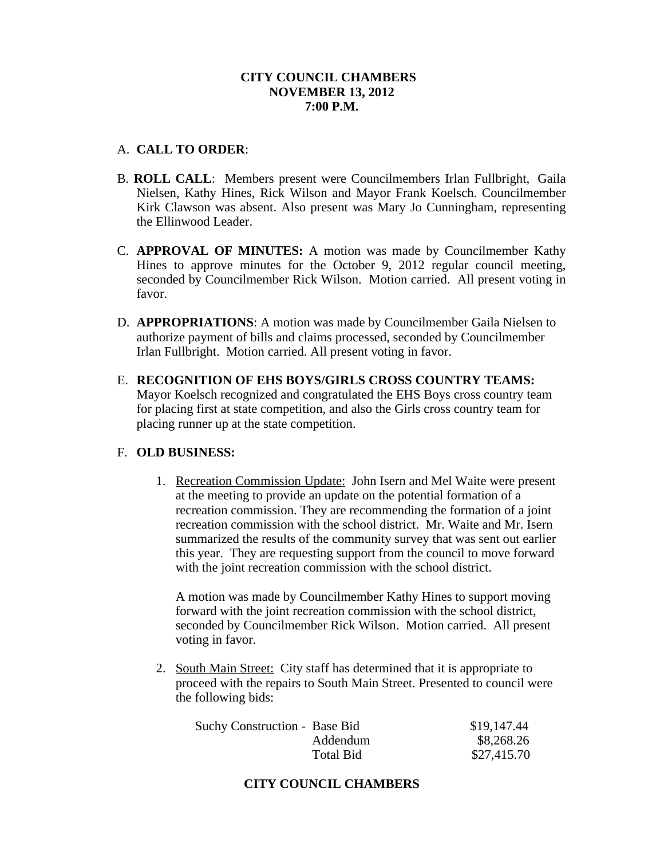## **CITY COUNCIL CHAMBERS NOVEMBER 13, 2012 7:00 P.M.**

#### A. **CALL TO ORDER**:

- B. **ROLL CALL**: Members present were Councilmembers Irlan Fullbright, Gaila Nielsen, Kathy Hines, Rick Wilson and Mayor Frank Koelsch. Councilmember Kirk Clawson was absent. Also present was Mary Jo Cunningham, representing the Ellinwood Leader.
- C. **APPROVAL OF MINUTES:** A motion was made by Councilmember Kathy Hines to approve minutes for the October 9, 2012 regular council meeting, seconded by Councilmember Rick Wilson. Motion carried. All present voting in favor.
- D. **APPROPRIATIONS**: A motion was made by Councilmember Gaila Nielsen to authorize payment of bills and claims processed, seconded by Councilmember Irlan Fullbright. Motion carried. All present voting in favor.
- E. **RECOGNITION OF EHS BOYS/GIRLS CROSS COUNTRY TEAMS:** Mayor Koelsch recognized and congratulated the EHS Boys cross country team for placing first at state competition, and also the Girls cross country team for placing runner up at the state competition.

## F. **OLD BUSINESS:**

1. Recreation Commission Update: John Isern and Mel Waite were present at the meeting to provide an update on the potential formation of a recreation commission. They are recommending the formation of a joint recreation commission with the school district. Mr. Waite and Mr. Isern summarized the results of the community survey that was sent out earlier this year. They are requesting support from the council to move forward with the joint recreation commission with the school district.

A motion was made by Councilmember Kathy Hines to support moving forward with the joint recreation commission with the school district, seconded by Councilmember Rick Wilson. Motion carried. All present voting in favor.

2. South Main Street: City staff has determined that it is appropriate to proceed with the repairs to South Main Street. Presented to council were the following bids:

| Suchy Construction - Base Bid |                  | \$19,147.44 |
|-------------------------------|------------------|-------------|
|                               | Addendum         | \$8,268.26  |
|                               | <b>Total Bid</b> | \$27,415.70 |

# **CITY COUNCIL CHAMBERS**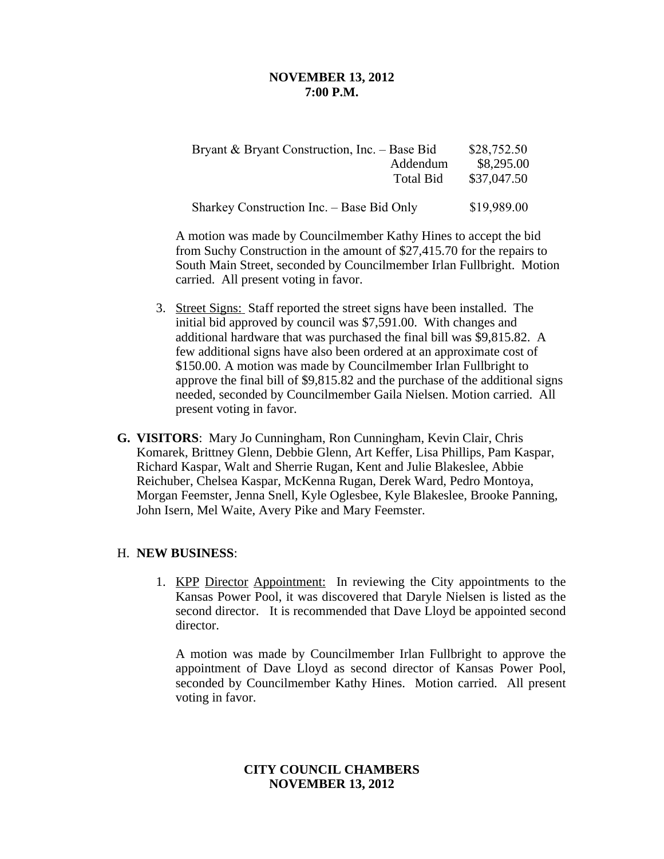#### **NOVEMBER 13, 2012 7:00 P.M.**

| Bryant & Bryant Construction, Inc. – Base Bid | Addendum<br>Total Bid | \$28,752.50<br>\$8,295.00<br>\$37,047.50 |
|-----------------------------------------------|-----------------------|------------------------------------------|
| Sharkey Construction Inc. – Base Bid Only     |                       | \$19,989.00                              |

A motion was made by Councilmember Kathy Hines to accept the bid from Suchy Construction in the amount of \$27,415.70 for the repairs to South Main Street, seconded by Councilmember Irlan Fullbright. Motion carried. All present voting in favor.

- 3. Street Signs: Staff reported the street signs have been installed. The initial bid approved by council was \$7,591.00. With changes and additional hardware that was purchased the final bill was \$9,815.82. A few additional signs have also been ordered at an approximate cost of \$150.00. A motion was made by Councilmember Irlan Fullbright to approve the final bill of \$9,815.82 and the purchase of the additional signs needed, seconded by Councilmember Gaila Nielsen. Motion carried. All present voting in favor.
- **G. VISITORS**: Mary Jo Cunningham, Ron Cunningham, Kevin Clair, Chris Komarek, Brittney Glenn, Debbie Glenn, Art Keffer, Lisa Phillips, Pam Kaspar, Richard Kaspar, Walt and Sherrie Rugan, Kent and Julie Blakeslee, Abbie Reichuber, Chelsea Kaspar, McKenna Rugan, Derek Ward, Pedro Montoya, Morgan Feemster, Jenna Snell, Kyle Oglesbee, Kyle Blakeslee, Brooke Panning, John Isern, Mel Waite, Avery Pike and Mary Feemster.

## H. **NEW BUSINESS**:

1. KPP Director Appointment: In reviewing the City appointments to the Kansas Power Pool, it was discovered that Daryle Nielsen is listed as the second director. It is recommended that Dave Lloyd be appointed second director.

A motion was made by Councilmember Irlan Fullbright to approve the appointment of Dave Lloyd as second director of Kansas Power Pool, seconded by Councilmember Kathy Hines. Motion carried. All present voting in favor.

## **CITY COUNCIL CHAMBERS NOVEMBER 13, 2012**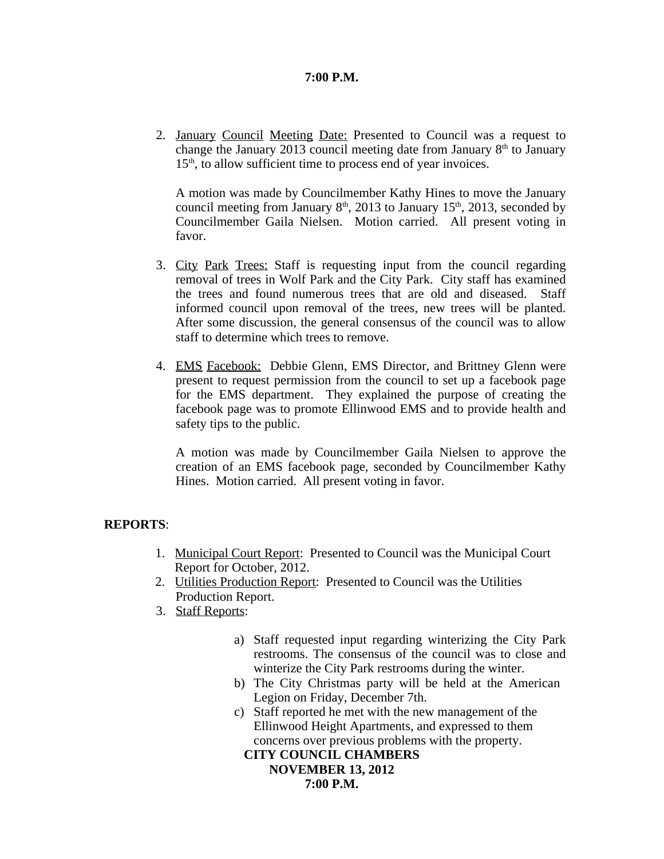## **7:00 P.M.**

2. January Council Meeting Date: Presented to Council was a request to change the January 2013 council meeting date from January 8<sup>th</sup> to January 15<sup>th</sup>, to allow sufficient time to process end of year invoices.

A motion was made by Councilmember Kathy Hines to move the January council meeting from January  $8<sup>th</sup>$ , 2013 to January 15<sup>th</sup>, 2013, seconded by Councilmember Gaila Nielsen. Motion carried. All present voting in favor.

- 3. City Park Trees: Staff is requesting input from the council regarding removal of trees in Wolf Park and the City Park. City staff has examined the trees and found numerous trees that are old and diseased. Staff informed council upon removal of the trees, new trees will be planted. After some discussion, the general consensus of the council was to allow staff to determine which trees to remove.
- 4. EMS Facebook: Debbie Glenn, EMS Director, and Brittney Glenn were present to request permission from the council to set up a facebook page for the EMS department. They explained the purpose of creating the facebook page was to promote Ellinwood EMS and to provide health and safety tips to the public.

A motion was made by Councilmember Gaila Nielsen to approve the creation of an EMS facebook page, seconded by Councilmember Kathy Hines. Motion carried. All present voting in favor.

#### **REPORTS**:

- 1. Municipal Court Report: Presented to Council was the Municipal Court Report for October, 2012.
- 2. Utilities Production Report: Presented to Council was the Utilities Production Report.
- 3. Staff Reports:
	- a) Staff requested input regarding winterizing the City Park restrooms. The consensus of the council was to close and winterize the City Park restrooms during the winter.
	- b) The City Christmas party will be held at the American Legion on Friday, December 7th.
	- c) Staff reported he met with the new management of the Ellinwood Height Apartments, and expressed to them concerns over previous problems with the property.

# **CITY COUNCIL CHAMBERS**

**NOVEMBER 13, 2012 7:00 P.M.**